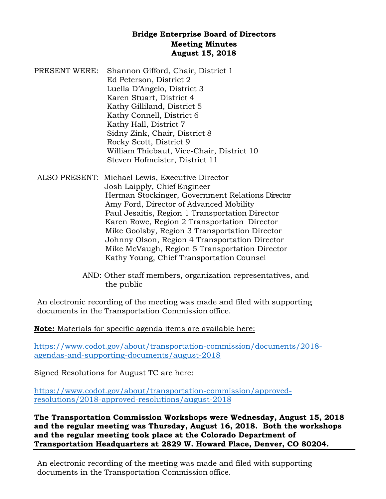## **Bridge Enterprise Board of Directors Meeting Minutes August 15, 2018**

- PRESENT WERE: Shannon Gifford, Chair, District 1 Ed Peterson, District 2 Luella D'Angelo, District 3 Karen Stuart, District 4 Kathy Gilliland, District 5 Kathy Connell, District 6 Kathy Hall, District 7 Sidny Zink, Chair, District 8 Rocky Scott, District 9 William Thiebaut, Vice-Chair, District 10 Steven Hofmeister, District 11
- ALSO PRESENT: Michael Lewis, Executive Director Josh Laipply, Chief Engineer Herman Stockinger, Government Relations Director Amy Ford, Director of Advanced Mobility Paul Jesaitis, Region 1 Transportation Director Karen Rowe, Region 2 Transportation Director Mike Goolsby, Region 3 Transportation Director Johnny Olson, Region 4 Transportation Director Mike McVaugh, Region 5 Transportation Director Kathy Young, Chief Transportation Counsel
	- AND: Other staff members, organization representatives, and the public

An electronic recording of the meeting was made and filed with supporting documents in the Transportation Commission office.

**Note:** Materials for specific agenda items are available here:

[https://www.codot.gov/about/transportation-commission/documents/2018](https://www.codot.gov/about/transportation-commission/documents/2018-agendas-and-supporting-documents/august-2018) [agendas-and-supporting-documents/august-2018](https://www.codot.gov/about/transportation-commission/documents/2018-agendas-and-supporting-documents/august-2018)

Signed Resolutions for August TC are here:

[https://www.codot.gov/about/transportation-commission/approved](https://www.codot.gov/about/transportation-commission/approved-resolutions/2018-approved-resolutions/august-2018)[resolutions/2018-approved-resolutions/august-2018](https://www.codot.gov/about/transportation-commission/approved-resolutions/2018-approved-resolutions/august-2018)

**The Transportation Commission Workshops were Wednesday, August 15, 2018 and the regular meeting was Thursday, August 16, 2018. Both the workshops and the regular meeting took place at the Colorado Department of Transportation Headquarters at 2829 W. Howard Place, Denver, CO 80204.** 

An electronic recording of the meeting was made and filed with supporting documents in the Transportation Commission office.